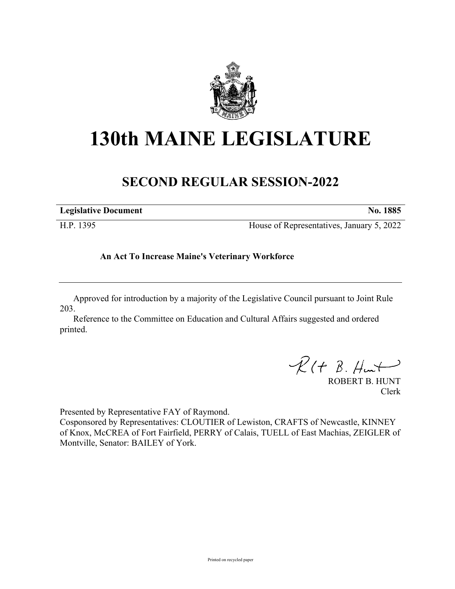

## **130th MAINE LEGISLATURE**

## **SECOND REGULAR SESSION-2022**

| <b>Legislative Document</b> | No. 1885                                  |
|-----------------------------|-------------------------------------------|
| H.P. 1395                   | House of Representatives, January 5, 2022 |

**An Act To Increase Maine's Veterinary Workforce**

Approved for introduction by a majority of the Legislative Council pursuant to Joint Rule 203.

Reference to the Committee on Education and Cultural Affairs suggested and ordered printed.

 $\mathcal{R}(t \; \mathcal{B}, \#m\rightarrow)$ 

ROBERT B. HUNT Clerk

Presented by Representative FAY of Raymond.

Cosponsored by Representatives: CLOUTIER of Lewiston, CRAFTS of Newcastle, KINNEY of Knox, McCREA of Fort Fairfield, PERRY of Calais, TUELL of East Machias, ZEIGLER of Montville, Senator: BAILEY of York.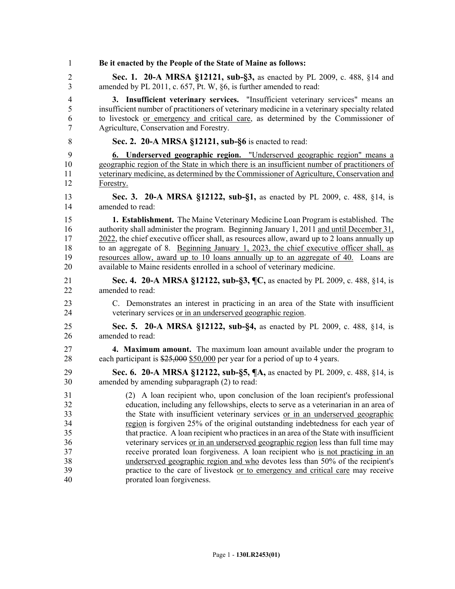| 1              | Be it enacted by the People of the State of Maine as follows:                                 |
|----------------|-----------------------------------------------------------------------------------------------|
| 2              | Sec. 1. 20-A MRSA §12121, sub-§3, as enacted by PL 2009, c. 488, §14 and                      |
| 3              | amended by PL 2011, c. 657, Pt. W, §6, is further amended to read:                            |
| $\overline{4}$ | 3. Insufficient veterinary services. "Insufficient veterinary services" means an              |
| 5              | insufficient number of practitioners of veterinary medicine in a veterinary specialty related |
| 6              | to livestock or emergency and critical care, as determined by the Commissioner of             |
| 7              | Agriculture, Conservation and Forestry.                                                       |
| 8              | Sec. 2. 20-A MRSA §12121, sub-§6 is enacted to read:                                          |
| 9              | 6. Underserved geographic region. "Underserved geographic region" means a                     |
| 10             | geographic region of the State in which there is an insufficient number of practitioners of   |
| 11             | veterinary medicine, as determined by the Commissioner of Agriculture, Conservation and       |
| 12             | Forestry.                                                                                     |
| 13             | Sec. 3. 20-A MRSA §12122, sub-§1, as enacted by PL 2009, c. 488, §14, is                      |
| 14             | amended to read:                                                                              |
| 15             | 1. Establishment. The Maine Veterinary Medicine Loan Program is established. The              |
| 16             | authority shall administer the program. Beginning January 1, 2011 and until December 31,      |
| 17             | 2022, the chief executive officer shall, as resources allow, award up to 2 loans annually up  |
| 18             | to an aggregate of 8. Beginning January 1, 2023, the chief executive officer shall, as        |
| 19             | resources allow, award up to 10 loans annually up to an aggregate of 40. Loans are            |
| 20             | available to Maine residents enrolled in a school of veterinary medicine.                     |
| 21             | <b>Sec. 4. 20-A MRSA §12122, sub-§3, ¶C, as enacted by PL 2009, c. 488, §14, is</b>           |
| 22             | amended to read:                                                                              |
| 23             | C. Demonstrates an interest in practicing in an area of the State with insufficient           |
| 24             | veterinary services or in an underserved geographic region.                                   |
| 25             | Sec. 5. 20-A MRSA §12122, sub-§4, as enacted by PL 2009, c. 488, §14, is                      |
| 26             | amended to read:                                                                              |
| 27             | <b>4. Maximum amount.</b> The maximum loan amount available under the program to              |
| 28             | each participant is \$25,000 \$50,000 per year for a period of up to 4 years.                 |
| 29             | Sec. 6. 20-A MRSA §12122, sub-§5, ¶A, as enacted by PL 2009, c. 488, §14, is                  |
| 30             | amended by amending subparagraph (2) to read:                                                 |
| 31             | (2) A loan recipient who, upon conclusion of the loan recipient's professional                |
| 32             | education, including any fellowships, elects to serve as a veterinarian in an area of         |
| 33             | the State with insufficient veterinary services or in an underserved geographic               |
| 34             | region is forgiven 25% of the original outstanding indebtedness for each year of              |
| 35             | that practice. A loan recipient who practices in an area of the State with insufficient       |
| 36             | veterinary services or in an underserved geographic region less than full time may            |
| 37             | receive prorated loan forgiveness. A loan recipient who is not practicing in an               |
| 38             | underserved geographic region and who devotes less than 50% of the recipient's                |
| 39             | practice to the care of livestock or to emergency and critical care may receive               |
| 40             | prorated loan forgiveness.                                                                    |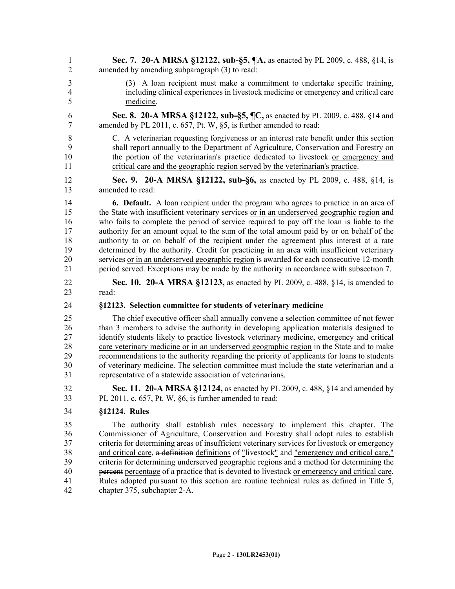- 1 **Sec. 7. 20-A MRSA §12122, sub-§5, ¶A,** as enacted by PL 2009, c. 488, §14, is 2 amended by amending subparagraph (3) to read: 3 (3) A loan recipient must make a commitment to undertake specific training, 4 including clinical experiences in livestock medicine or emergency and critical care 5 medicine. 6 **Sec. 8. 20-A MRSA §12122, sub-§5, ¶C,** as enacted by PL 2009, c. 488, §14 and 7 amended by PL 2011, c. 657, Pt. W, §5, is further amended to read: 8 C. A veterinarian requesting forgiveness or an interest rate benefit under this section 9 shall report annually to the Department of Agriculture, Conservation and Forestry on 10 the portion of the veterinarian's practice dedicated to livestock or emergency and 11 critical care and the geographic region served by the veterinarian's practice. 12 **Sec. 9. 20-A MRSA §12122, sub-§6,** as enacted by PL 2009, c. 488, §14, is 13 amended to read: 14 **6. Default.** A loan recipient under the program who agrees to practice in an area of 15 the State with insufficient veterinary services or in an underserved geographic region and 16 who fails to complete the period of service required to pay off the loan is liable to the 17 authority for an amount equal to the sum of the total amount paid by or on behalf of the 18 authority to or on behalf of the recipient under the agreement plus interest at a rate 19 determined by the authority. Credit for practicing in an area with insufficient veterinary 20 services or in an underserved geographic region is awarded for each consecutive 12-month 21 period served. Exceptions may be made by the authority in accordance with subsection 7. 22 **Sec. 10. 20-A MRSA §12123,** as enacted by PL 2009, c. 488, §14, is amended to 23 read: 24 **§12123. Selection committee for students of veterinary medicine** 25 The chief executive officer shall annually convene a selection committee of not fewer 26 than 3 members to advise the authority in developing application materials designed to 27 identify students likely to practice livestock veterinary medicine, emergency and critical 28 care veterinary medicine or in an underserved geographic region in the State and to make 29 recommendations to the authority regarding the priority of applicants for loans to students 30 of veterinary medicine. The selection committee must include the state veterinarian and a 31 representative of a statewide association of veterinarians. 32 **Sec. 11. 20-A MRSA §12124,** as enacted by PL 2009, c. 488, §14 and amended by 33 PL 2011, c. 657, Pt. W, §6, is further amended to read: 34 **§12124. Rules** 35 The authority shall establish rules necessary to implement this chapter. The 36 Commissioner of Agriculture, Conservation and Forestry shall adopt rules to establish 37 criteria for determining areas of insufficient veterinary services for livestock or emergency 38 and critical care, a definition definitions of "livestock" and "emergency and critical care," 39 criteria for determining underserved geographic regions and a method for determining the 40 **percent percentage of a practice that is devoted to livestock or emergency and critical care.** 41 Rules adopted pursuant to this section are routine technical rules as defined in Title 5,
- 42 chapter 375, subchapter 2-A.